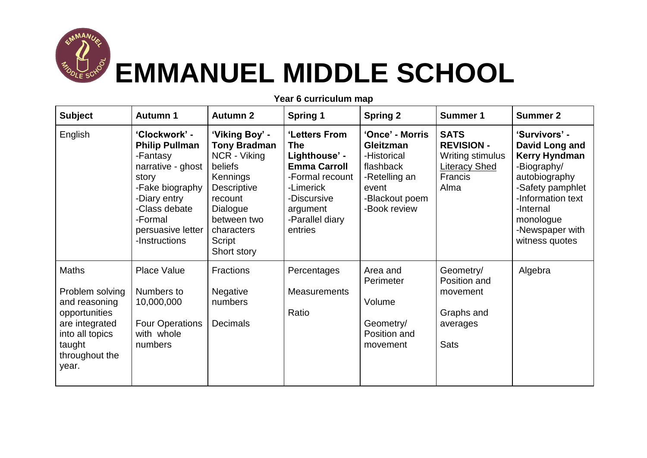

## **EMMANUEL MIDDLE SCHOOL**

| <b>Subject</b>                                                                                                                       | <b>Autumn 1</b>                                                                                                                                                                       | <b>Autumn 2</b>                                                                                                                                                          | <b>Spring 1</b>                                                                                                                                              | <b>Spring 2</b>                                                                                                             | <b>Summer 1</b>                                                                                        | <b>Summer 2</b>                                                                                                                                                                                 |
|--------------------------------------------------------------------------------------------------------------------------------------|---------------------------------------------------------------------------------------------------------------------------------------------------------------------------------------|--------------------------------------------------------------------------------------------------------------------------------------------------------------------------|--------------------------------------------------------------------------------------------------------------------------------------------------------------|-----------------------------------------------------------------------------------------------------------------------------|--------------------------------------------------------------------------------------------------------|-------------------------------------------------------------------------------------------------------------------------------------------------------------------------------------------------|
| English                                                                                                                              | 'Clockwork' -<br><b>Philip Pullman</b><br>-Fantasy<br>narrative - ghost<br>story<br>-Fake biography<br>-Diary entry<br>-Class debate<br>-Formal<br>persuasive letter<br>-Instructions | 'Viking Boy' -<br><b>Tony Bradman</b><br>NCR - Viking<br>beliefs<br>Kennings<br>Descriptive<br>recount<br>Dialogue<br>between two<br>characters<br>Script<br>Short story | 'Letters From<br><b>The</b><br>Lighthouse' -<br><b>Emma Carroll</b><br>-Formal recount<br>-Limerick<br>-Discursive<br>argument<br>-Parallel diary<br>entries | 'Once' - Morris<br><b>Gleitzman</b><br>-Historical<br>flashback<br>-Retelling an<br>event<br>-Blackout poem<br>-Book review | <b>SATS</b><br><b>REVISION -</b><br>Writing stimulus<br><b>Literacy Shed</b><br><b>Francis</b><br>Alma | 'Survivors' -<br>David Long and<br><b>Kerry Hyndman</b><br>-Biography/<br>autobiography<br>-Safety pamphlet<br>-Information text<br>-Internal<br>monologue<br>-Newspaper with<br>witness quotes |
| Maths<br>Problem solving<br>and reasoning<br>opportunities<br>are integrated<br>into all topics<br>taught<br>throughout the<br>year. | <b>Place Value</b><br>Numbers to<br>10,000,000<br><b>Four Operations</b><br>with whole<br>numbers                                                                                     | <b>Fractions</b><br>Negative<br>numbers<br>Decimals                                                                                                                      | Percentages<br><b>Measurements</b><br>Ratio                                                                                                                  | Area and<br>Perimeter<br>Volume<br>Geometry/<br>Position and<br>movement                                                    | Geometry/<br>Position and<br>movement<br>Graphs and<br>averages<br><b>Sats</b>                         | Algebra                                                                                                                                                                                         |

**Year 6 curriculum map**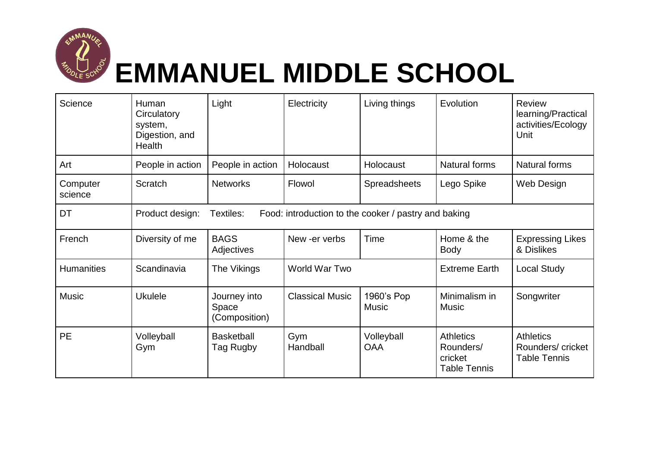

## **EMMANUEL MIDDLE SCHOOL**

| Science             | Human<br>Circulatory<br>system,<br>Digestion, and<br>Health                          | Light                                  | Electricity            | Living things              | Evolution                                                       | <b>Review</b><br>learning/Practical<br>activities/Ecology<br>Unit |  |
|---------------------|--------------------------------------------------------------------------------------|----------------------------------------|------------------------|----------------------------|-----------------------------------------------------------------|-------------------------------------------------------------------|--|
| Art                 | People in action                                                                     | People in action                       | Holocaust              | Holocaust                  | Natural forms                                                   | Natural forms                                                     |  |
| Computer<br>science | Scratch                                                                              | <b>Networks</b>                        | Flowol                 | <b>Spreadsheets</b>        | Lego Spike                                                      | Web Design                                                        |  |
| DT                  | Product design:<br>Textiles:<br>Food: introduction to the cooker / pastry and baking |                                        |                        |                            |                                                                 |                                                                   |  |
| French              | Diversity of me                                                                      | <b>BAGS</b><br>Adjectives              | New -er verbs          | Time                       | Home & the<br><b>Body</b>                                       | <b>Expressing Likes</b><br>& Dislikes                             |  |
| <b>Humanities</b>   | Scandinavia                                                                          | The Vikings                            | World War Two          |                            | <b>Extreme Earth</b>                                            | <b>Local Study</b>                                                |  |
| <b>Music</b>        | <b>Ukulele</b>                                                                       | Journey into<br>Space<br>(Composition) | <b>Classical Music</b> | 1960's Pop<br><b>Music</b> | Minimalism in<br><b>Music</b>                                   | Songwriter                                                        |  |
| <b>PE</b>           | Volleyball<br>Gym                                                                    | <b>Basketball</b><br>Tag Rugby         | Gym<br>Handball        | Volleyball<br><b>OAA</b>   | <b>Athletics</b><br>Rounders/<br>cricket<br><b>Table Tennis</b> | <b>Athletics</b><br>Rounders/ cricket<br><b>Table Tennis</b>      |  |